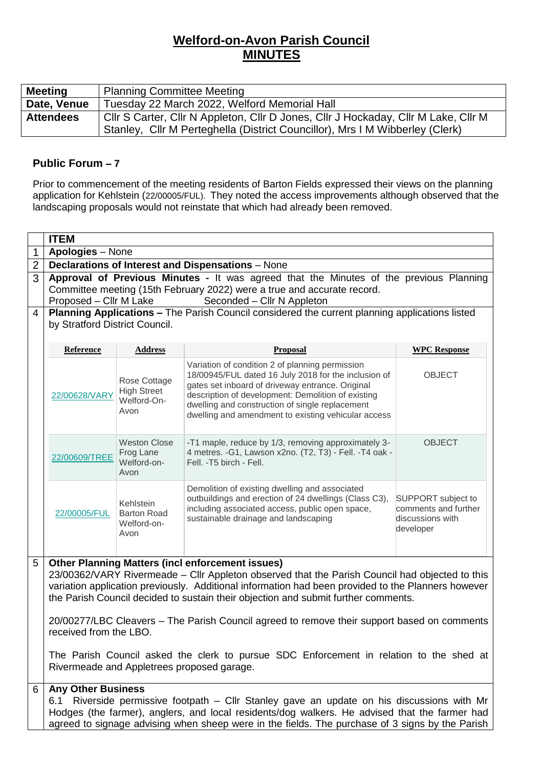## **Welford-on-Avon Parish Council MINUTES**

| <b>Meeting</b>   | <b>Planning Committee Meeting</b>                                                                                                                                  |  |  |  |  |
|------------------|--------------------------------------------------------------------------------------------------------------------------------------------------------------------|--|--|--|--|
| Date, Venue      | Tuesday 22 March 2022, Welford Memorial Hall                                                                                                                       |  |  |  |  |
| <b>Attendees</b> | Cllr S Carter, Cllr N Appleton, Cllr D Jones, Cllr J Hockaday, Cllr M Lake, Cllr M<br>Stanley, Cllr M Perteghella (District Councillor), Mrs I M Wibberley (Clerk) |  |  |  |  |

## **Public Forum – 7**

Prior to commencement of the meeting residents of Barton Fields expressed their views on the planning application for Kehlstein (22/00005/FUL). They noted the access improvements although observed that the landscaping proposals would not reinstate that which had already been removed.

|                | <b>ITEM</b>                                                                                                                                                                                                                                                                                                                                                                                                                                                                                                                                                                                                             |                                                           |                                                                                                                                                                                                                                                                                                                             |                                                                             |  |  |
|----------------|-------------------------------------------------------------------------------------------------------------------------------------------------------------------------------------------------------------------------------------------------------------------------------------------------------------------------------------------------------------------------------------------------------------------------------------------------------------------------------------------------------------------------------------------------------------------------------------------------------------------------|-----------------------------------------------------------|-----------------------------------------------------------------------------------------------------------------------------------------------------------------------------------------------------------------------------------------------------------------------------------------------------------------------------|-----------------------------------------------------------------------------|--|--|
| 1              | Apologies - None                                                                                                                                                                                                                                                                                                                                                                                                                                                                                                                                                                                                        |                                                           |                                                                                                                                                                                                                                                                                                                             |                                                                             |  |  |
| $\overline{2}$ | Declarations of Interest and Dispensations - None                                                                                                                                                                                                                                                                                                                                                                                                                                                                                                                                                                       |                                                           |                                                                                                                                                                                                                                                                                                                             |                                                                             |  |  |
| 3              | Approval of Previous Minutes - It was agreed that the Minutes of the previous Planning<br>Committee meeting (15th February 2022) were a true and accurate record.<br>Seconded - Cllr N Appleton<br>Proposed – CIIr M Lake                                                                                                                                                                                                                                                                                                                                                                                               |                                                           |                                                                                                                                                                                                                                                                                                                             |                                                                             |  |  |
| 4              | Planning Applications - The Parish Council considered the current planning applications listed<br>by Stratford District Council.                                                                                                                                                                                                                                                                                                                                                                                                                                                                                        |                                                           |                                                                                                                                                                                                                                                                                                                             |                                                                             |  |  |
|                | Reference                                                                                                                                                                                                                                                                                                                                                                                                                                                                                                                                                                                                               | <b>Address</b>                                            | Proposal                                                                                                                                                                                                                                                                                                                    | <b>WPC Response</b>                                                         |  |  |
|                | 22/00628/VARY                                                                                                                                                                                                                                                                                                                                                                                                                                                                                                                                                                                                           | Rose Cottage<br><b>High Street</b><br>Welford-On-<br>Avon | Variation of condition 2 of planning permission<br>18/00945/FUL dated 16 July 2018 for the inclusion of<br>gates set inboard of driveway entrance. Original<br>description of development: Demolition of existing<br>dwelling and construction of single replacement<br>dwelling and amendment to existing vehicular access | <b>OBJECT</b>                                                               |  |  |
|                | 22/00609/TREE                                                                                                                                                                                                                                                                                                                                                                                                                                                                                                                                                                                                           | <b>Weston Close</b><br>Frog Lane<br>Welford-on-<br>Avon   | -T1 maple, reduce by 1/3, removing approximately 3-<br>4 metres. - G1, Lawson x2no. (T2, T3) - Fell. - T4 oak -<br>Fell. - T5 birch - Fell.                                                                                                                                                                                 | <b>OBJECT</b>                                                               |  |  |
|                | 22/00005/FUL                                                                                                                                                                                                                                                                                                                                                                                                                                                                                                                                                                                                            | Kehlstein<br><b>Barton Road</b><br>Welford-on-<br>Avon    | Demolition of existing dwelling and associated<br>outbuildings and erection of 24 dwellings (Class C3),<br>including associated access, public open space,<br>sustainable drainage and landscaping                                                                                                                          | SUPPORT subject to<br>comments and further<br>discussions with<br>developer |  |  |
| 5              | <b>Other Planning Matters (incl enforcement issues)</b><br>23/00362/VARY Rivermeade - Cllr Appleton observed that the Parish Council had objected to this<br>variation application previously. Additional information had been provided to the Planners however<br>the Parish Council decided to sustain their objection and submit further comments.<br>20/00277/LBC Cleavers - The Parish Council agreed to remove their support based on comments<br>received from the LBO.<br>The Parish Council asked the clerk to pursue SDC Enforcement in relation to the shed at<br>Rivermeade and Appletrees proposed garage. |                                                           |                                                                                                                                                                                                                                                                                                                             |                                                                             |  |  |
| 6              | <b>Any Other Business</b><br>Riverside permissive footpath - Cllr Stanley gave an update on his discussions with Mr<br>6.1<br>Hodges (the farmer), anglers, and local residents/dog walkers. He advised that the farmer had<br>agreed to signage advising when sheep were in the fields. The purchase of 3 signs by the Parish                                                                                                                                                                                                                                                                                          |                                                           |                                                                                                                                                                                                                                                                                                                             |                                                                             |  |  |